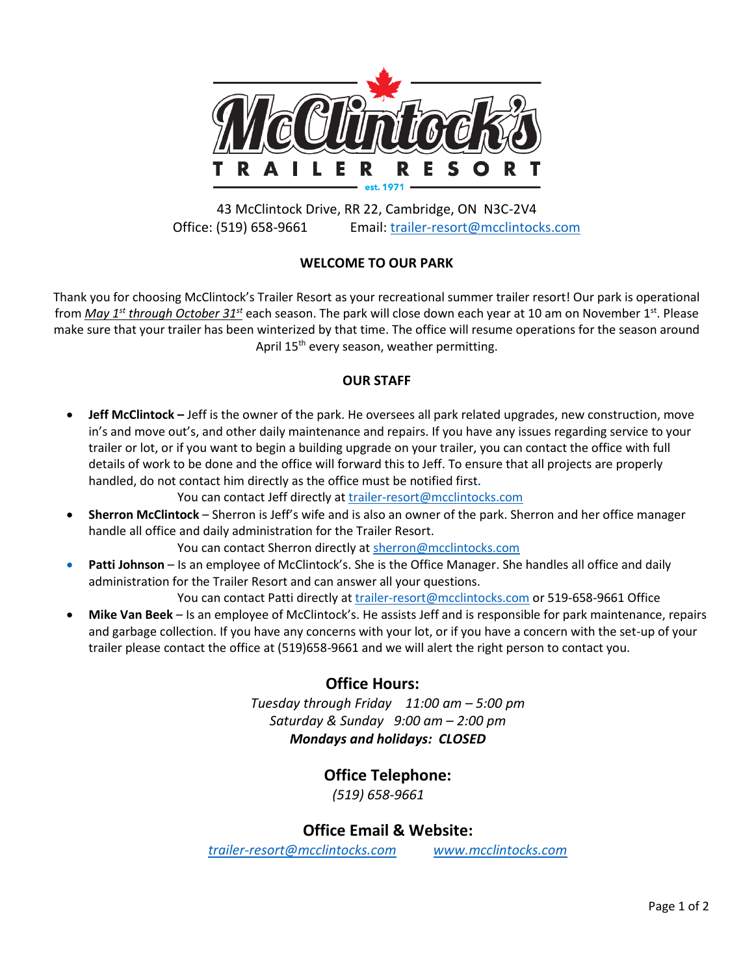

43 McClintock Drive, RR 22, Cambridge, ON N3C-2V4 Office: (519) 658-9661 Email: [trailer-resort@mcclintocks.com](mailto:trailer-resort@mcclintocks.com)

# **WELCOME TO OUR PARK**

Thank you for choosing McClintock's Trailer Resort as your recreational summer trailer resort! Our park is operational from *May 1st through October 31st* each season. The park will close down each year at 10 am on November 1st. Please make sure that your trailer has been winterized by that time. The office will resume operations for the season around April 15<sup>th</sup> every season, weather permitting.

### **OUR STAFF**

• **Jeff McClintock –** Jeff is the owner of the park. He oversees all park related upgrades, new construction, move in's and move out's, and other daily maintenance and repairs. If you have any issues regarding service to your trailer or lot, or if you want to begin a building upgrade on your trailer, you can contact the office with full details of work to be done and the office will forward this to Jeff. To ensure that all projects are properly handled, do not contact him directly as the office must be notified first.

You can contact Jeff directly at [trailer-resort@mcclintocks.com](mailto:trailer-resort@mcclintocks.com)

• **Sherron McClintock** – Sherron is Jeff's wife and is also an owner of the park. Sherron and her office manager handle all office and daily administration for the Trailer Resort.

You can contact Sherron directly at [sherron@mcclintocks.com](mailto:sherron@mcclintocks.com)

• **Patti Johnson** – Is an employee of McClintock's. She is the Office Manager. She handles all office and daily administration for the Trailer Resort and can answer all your questions.

You can contact Patti directly a[t trailer-resort@mcclintocks.com](mailto:trailer-resort@mcclintocks.com) or 519-658-9661 Office

• **Mike Van Beek** – Is an employee of McClintock's. He assists Jeff and is responsible for park maintenance, repairs and garbage collection. If you have any concerns with your lot, or if you have a concern with the set-up of your trailer please contact the office at (519)658-9661 and we will alert the right person to contact you.

# **Office Hours:**

*Tuesday through Friday 11:00 am – 5:00 pm Saturday & Sunday 9:00 am – 2:00 pm Mondays and holidays: CLOSED*

# **Office Telephone:**

*(519) 658-9661*

# **Office Email & Website:**

*[trailer-resort@mcclintocks.com](mailto:trailer-resort@mcclintocks.com) www.mcclintocks.com*